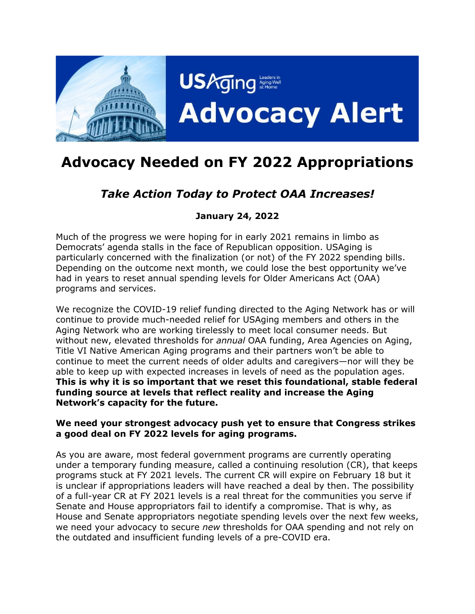

# **Advocacy Needed on FY 2022 Appropriations**

# *Take Action Today to Protect OAA Increases!*

# **January 24, 2022**

Much of the progress we were hoping for in early 2021 remains in limbo as Democrats' agenda stalls in the face of Republican opposition. USAging is particularly concerned with the finalization (or not) of the FY 2022 spending bills. Depending on the outcome next month, we could lose the best opportunity we've had in years to reset annual spending levels for Older Americans Act (OAA) programs and services.

We recognize the COVID-19 relief funding directed to the Aging Network has or will continue to provide much-needed relief for USAging members and others in the Aging Network who are working tirelessly to meet local consumer needs. But without new, elevated thresholds for *annual* OAA funding, Area Agencies on Aging, Title VI Native American Aging programs and their partners won't be able to continue to meet the current needs of older adults and caregivers—nor will they be able to keep up with expected increases in levels of need as the population ages. **This is why it is so important that we reset this foundational, stable federal funding source at levels that reflect reality and increase the Aging Network's capacity for the future.**

#### **We need your strongest advocacy push yet to ensure that Congress strikes a good deal on FY 2022 levels for aging programs.**

As you are aware, most federal government programs are currently operating under a temporary funding measure, called a continuing resolution (CR), that keeps programs stuck at FY 2021 levels. The current CR will expire on February 18 but it is unclear if appropriations leaders will have reached a deal by then. The possibility of a full-year CR at FY 2021 levels is a real threat for the communities you serve if Senate and House appropriators fail to identify a compromise. That is why, as House and Senate appropriators negotiate spending levels over the next few weeks, we need your advocacy to secure *new* thresholds for OAA spending and not rely on the outdated and insufficient funding levels of a pre-COVID era.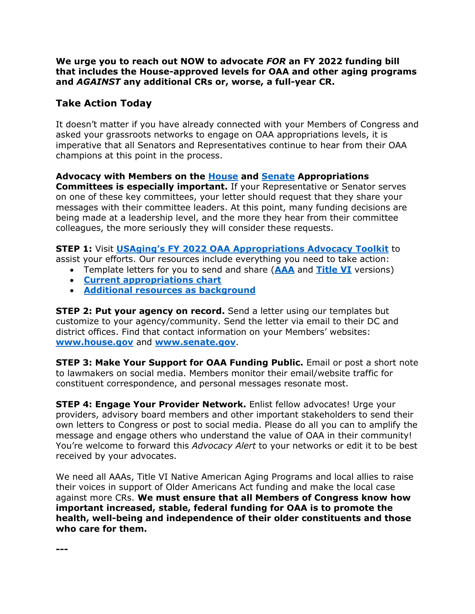**We urge you to reach out NOW to advocate** *FOR* **an FY 2022 funding bill that includes the House-approved levels for OAA and other aging programs and** *AGAINST* **any additional CRs or, worse, a full-year CR.** 

## **Take Action Today**

It doesn't matter if you have already connected with your Members of Congress and asked your grassroots networks to engage on OAA appropriations levels, it is imperative that all Senators and Representatives continue to hear from their OAA champions at this point in the process.

### **Advocacy with Members on the [House](https://appropriations.house.gov/about/membership) and [Senate](https://www.appropriations.senate.gov/about/members) Appropriations**

**Committees is especially important.** If your Representative or Senator serves on one of these key committees, your letter should request that they share your messages with their committee leaders. At this point, many funding decisions are being made at a leadership level, and the more they hear from their committee colleagues, the more seriously they will consider these requests.

**STEP 1:** Visit **[USAging's FY 2022 OAA Appropriations Advocacy Toolkit](https://www.n4a.org/content.asp?admin=Y&contentid=1173)** to

assist your efforts. Our resources include everything you need to take action:

- Template letters for you to send and share (**[AAA](http://www.usaging.org/Files/Updated%20AAA%20Template%20Letter%20for%20FY%202022%20Approps%20Requests%2010.27.21_Final.docx)** and **[Title VI](https://www.usaging.org/Files/Updated%20Title%20VI%20Template%20Letter%20for%20FY%202022_FINAL.docx)** versions)
- **[Current appropriations chart](https://www.usaging.org/Files/FY%202022%20Labor-HHS%20Sen%20Dem%20Proposed%20Appropriations%20Chart_10.20.pdf)**
- **[Additional resources as background](https://www.n4a.org/content.asp?admin=Y&contentid=1173)**

**STEP 2: Put your agency on record.** Send a letter using our templates but customize to your agency/community. Send the letter via email to their DC and district offices. Find that contact information on your Members' websites: **[www.house.gov](http://www.house.gov/)** and **[www.senate.gov](http://www.senate.gov/)**.

**STEP 3: Make Your Support for OAA Funding Public.** Email or post a short note to lawmakers on social media. Members monitor their email/website traffic for constituent correspondence, and personal messages resonate most.

**STEP 4: Engage Your Provider Network.** Enlist fellow advocates! Urge your providers, advisory board members and other important stakeholders to send their own letters to Congress or post to social media. Please do all you can to amplify the message and engage others who understand the value of OAA in their community! You're welcome to forward this *Advocacy Alert* to your networks or edit it to be best received by your advocates.

We need all AAAs, Title VI Native American Aging Programs and local allies to raise their voices in support of Older Americans Act funding and make the local case against more CRs. **We must ensure that all Members of Congress know how important increased, stable, federal funding for OAA is to promote the health, well-being and independence of their older constituents and those who care for them.**